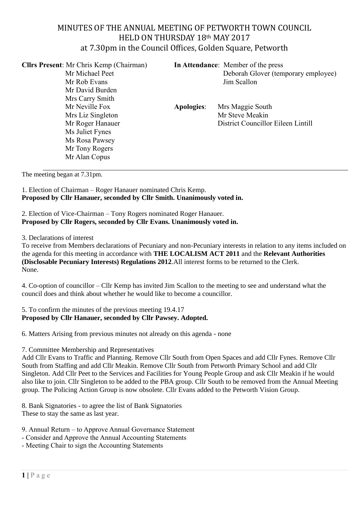# MINUTES OF THE ANNUAL MEETING OF PETWORTH TOWN COUNCIL HELD ON THURSDAY 18th MAY 2017 at 7.30pm in the Council Offices, Golden Square, Petworth

| <b>Cllrs Present:</b> Mr Chris Kemp (Chairman) |                   | In Attendance: Member of the press  |
|------------------------------------------------|-------------------|-------------------------------------|
| Mr Michael Peet                                |                   | Deborah Glover (temporary employee) |
| Mr Rob Evans                                   |                   | Jim Scallon                         |
| Mr David Burden                                |                   |                                     |
| Mrs Carry Smith                                |                   |                                     |
| Mr Neville Fox                                 | <b>Apologies:</b> | Mrs Maggie South                    |
| Mrs Liz Singleton                              |                   | Mr Steve Meakin                     |
| Mr Roger Hanauer                               |                   | District Councillor Eileen Lintill  |
| Ms Juliet Fynes                                |                   |                                     |
| Ms Rosa Pawsey                                 |                   |                                     |
| Mr Tony Rogers                                 |                   |                                     |
| Mr Alan Copus                                  |                   |                                     |
|                                                |                   |                                     |

The meeting began at 7.31pm.

# 1. Election of Chairman – Roger Hanauer nominated Chris Kemp. **Proposed by Cllr Hanauer, seconded by Cllr Smith. Unanimously voted in.**

# 2. Election of Vice-Chairman – Tony Rogers nominated Roger Hanauer. **Proposed by Cllr Rogers, seconded by Cllr Evans. Unanimously voted in.**

3. Declarations of interest

To receive from Members declarations of Pecuniary and non-Pecuniary interests in relation to any items included on the agenda for this meeting in accordance with **THE LOCALISM ACT 2011** and the **Relevant Authorities (Disclosable Pecuniary Interests) Regulations 2012**.All interest forms to be returned to the Clerk. None.

4. Co-option of councillor – Cllr Kemp has invited Jim Scallon to the meeting to see and understand what the council does and think about whether he would like to become a councillor.

5. To confirm the minutes of the previous meeting 19.4.17 **Proposed by Cllr Hanauer, seconded by Cllr Pawsey. Adopted.** 

6. Matters Arising from previous minutes not already on this agenda - none

## 7. Committee Membership and Representatives

Add Cllr Evans to Traffic and Planning. Remove Cllr South from Open Spaces and add Cllr Fynes. Remove Cllr South from Staffing and add Cllr Meakin. Remove Cllr South from Petworth Primary School and add Cllr Singleton. Add Cllr Peet to the Services and Facilities for Young People Group and ask Cllr Meakin if he would also like to join. Cllr Singleton to be added to the PBA group. Cllr South to be removed from the Annual Meeting group. The Policing Action Group is now obsolete. Cllr Evans added to the Petworth Vision Group.

8. Bank Signatories - to agree the list of Bank Signatories These to stay the same as last year.

9. Annual Return – to Approve Annual Governance Statement

- Consider and Approve the Annual Accounting Statements

- Meeting Chair to sign the Accounting Statements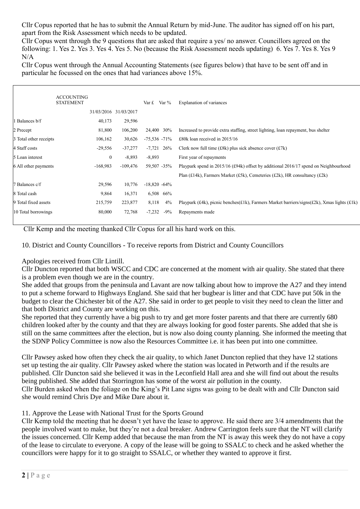Cllr Copus reported that he has to submit the Annual Return by mid-June. The auditor has signed off on his part, apart from the Risk Assessment which needs to be updated.

Cllr Copus went through the 9 questions that are asked that require a yes/ no answer. Councillors agreed on the following: 1. Yes 2. Yes 3. Yes 4. Yes 5. No (because the Risk Assessment needs updating) 6. Yes 7. Yes 8. Yes 9 N/A

Cllr Copus went through the Annual Accounting Statements (see figures below) that have to be sent off and in particular he focussed on the ones that had variances above 15%.

|                        | <b>ACCOUNTING</b><br><b>STATEMENT</b> |                            | Var £ Var $\%$    | Explanation of variances                                                                     |
|------------------------|---------------------------------------|----------------------------|-------------------|----------------------------------------------------------------------------------------------|
|                        |                                       | 31/03/2016 31/03/2017      |                   |                                                                                              |
| 1 Balances b/f         | 40,173                                | 29,596                     |                   |                                                                                              |
| 2 Precept              | 81,800                                | 106,200                    | 24,400 30%        | Increased to provide extra staffing, street lighting, loan repayment, bus shelter            |
| 3 Total other receipts | 106,162                               | 30,626                     | $-75,536 - 71\%$  | £80k loan received in 2015/16                                                                |
| 4 Staff costs          | $-29,556$                             | $-37,277$                  | $-7,721$<br>26%   | Clerk now full time (£8k) plus sick absence cover $(f7k)$                                    |
| 5 Loan interest        |                                       | $\overline{0}$<br>$-8,893$ | $-8,893$          | First year of repayments                                                                     |
| 6 All other payments   | $-168,983$                            | $-109,476$                 | 59,507 -35%       | Playpark spend in $2015/16$ (£94k) offset by additional $2016/17$ spend on Neighbourhood     |
|                        |                                       |                            |                   | Plan (£14k), Farmers Market (£5k), Cemeteries (£2k), HR consultancy (£2k)                    |
| 7 Balances c/f         | 29,596                                | 10,776                     | $-18,820 -64%$    |                                                                                              |
| 8 Total cash           | 9,864                                 | 16,371                     | 6,508 66%         |                                                                                              |
| 9 Total fixed assets   | 215,759                               | 223,877                    | 8,118<br>$4\%$    | Playpark (£4k), picnic benches (£1k), Farmers Market barriers/signs (£2k), Xmas lights (£1k) |
| 10 Total borrowings    | 80,000                                | 72,768                     | $-9%$<br>$-7,232$ | Repayments made                                                                              |
|                        |                                       |                            |                   |                                                                                              |

Cllr Kemp and the meeting thanked Cllr Copus for all his hard work on this.

10. District and County Councillors - To receive reports from District and County Councillors

Apologies received from Cllr Lintill.

Cllr Duncton reported that both WSCC and CDC are concerned at the moment with air quality. She stated that there is a problem even though we are in the country.

She added that groups from the peninsula and Lavant are now talking about how to improve the A27 and they intend to put a scheme forward to Highways England. She said that her bugbear is litter and that CDC have put 50k in the budget to clear the Chichester bit of the A27. She said in order to get people to visit they need to clean the litter and that both District and County are working on this.

She reported that they currently have a big push to try and get more foster parents and that there are currently 680 children looked after by the county and that they are always looking for good foster parents. She added that she is still on the same committees after the election, but is now also doing county planning. She informed the meeting that the SDNP Policy Committee is now also the Resources Committee i.e. it has been put into one committee.

Cllr Pawsey asked how often they check the air quality, to which Janet Duncton replied that they have 12 stations set up testing the air quality. Cllr Pawsey asked where the station was located in Petworth and if the results are published. Cllr Duncton said she believed it was in the Leconfield Hall area and she will find out about the results being published. She added that Storrington has some of the worst air pollution in the county.

Cllr Burden asked when the foliage on the King's Pit Lane signs was going to be dealt with and Cllr Duncton said she would remind Chris Dye and Mike Dare about it.

## 11. Approve the Lease with National Trust for the Sports Ground

Cllr Kemp told the meeting that he doesn't yet have the lease to approve. He said there are 3/4 amendments that the people involved want to make, but they're not a deal breaker. Andrew Carrington feels sure that the NT will clarify the issues concerned. Cllr Kemp added that because the man from the NT is away this week they do not have a copy of the lease to circulate to everyone. A copy of the lease will be going to SSALC to check and he asked whether the councillors were happy for it to go straight to SSALC, or whether they wanted to approve it first.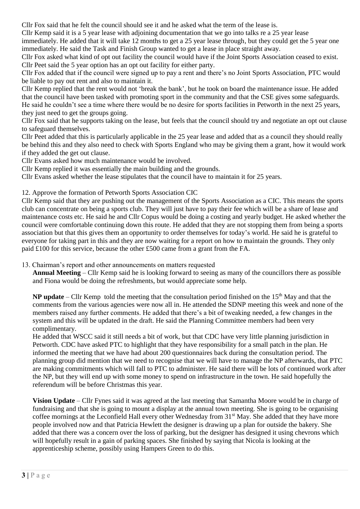Cllr Fox said that he felt the council should see it and he asked what the term of the lease is.

Cllr Kemp said it is a 5 year lease with adjoining documentation that we go into talks re a 25 year lease

immediately. He added that it will take 12 months to get a 25 year lease through, but they could get the 5 year one immediately. He said the Task and Finish Group wanted to get a lease in place straight away.

Cllr Fox asked what kind of opt out facility the council would have if the Joint Sports Association ceased to exist. Cllr Peet said the 5 year option has an opt out facility for either party.

Cllr Fox added that if the council were signed up to pay a rent and there's no Joint Sports Association, PTC would be liable to pay out rent and also to maintain it.

Cllr Kemp replied that the rent would not 'break the bank', but he took on board the maintenance issue. He added that the council have been tasked with promoting sport in the community and that the CSE gives some safeguards. He said he couldn't see a time where there would be no desire for sports facilities in Petworth in the next 25 years, they just need to get the groups going.

Cllr Fox said that he supports taking on the lease, but feels that the council should try and negotiate an opt out clause to safeguard themselves.

Cllr Peet added that this is particularly applicable in the 25 year lease and added that as a council they should really be behind this and they also need to check with Sports England who may be giving them a grant, how it would work if they added the get out clause.

Cllr Evans asked how much maintenance would be involved.

Cllr Kemp replied it was essentially the main building and the grounds.

Cllr Evans asked whether the lease stipulates that the council have to maintain it for 25 years.

12. Approve the formation of Petworth Sports Association CIC

Cllr Kemp said that they are pushing out the management of the Sports Association as a CIC. This means the sports club can concentrate on being a sports club. They will just have to pay their fee which will be a share of lease and maintenance costs etc. He said he and Cllr Copus would be doing a costing and yearly budget. He asked whether the council were comfortable continuing down this route. He added that they are not stopping them from being a sports association but that this gives them an opportunity to order themselves for today's world. He said he is grateful to everyone for taking part in this and they are now waiting for a report on how to maintain the grounds. They only paid £100 for this service, because the other £500 came from a grant from the FA.

13. Chairman's report and other announcements on matters requested

**Annual Meeting** – Cllr Kemp said he is looking forward to seeing as many of the councillors there as possible and Fiona would be doing the refreshments, but would appreciate some help.

**NP update** – Cllr Kemp told the meeting that the consultation period finished on the 15<sup>th</sup> May and that the comments from the various agencies were now all in. He attended the SDNP meeting this week and none of the members raised any further comments. He added that there's a bit of tweaking needed, a few changes in the system and this will be updated in the draft. He said the Planning Committee members had been very complimentary.

He added that WSCC said it still needs a bit of work, but that CDC have very little planning jurisdiction in Petworth. CDC have asked PTC to highlight that they have responsibility for a small patch in the plan. He informed the meeting that we have had about 200 questionnaires back during the consultation period. The planning group did mention that we need to recognise that we will have to manage the NP afterwards, that PTC are making commitments which will fall to PTC to administer. He said there will be lots of continued work after the NP, but they will end up with some money to spend on infrastructure in the town. He said hopefully the referendum will be before Christmas this year.

**Vision Update** – Cllr Fynes said it was agreed at the last meeting that Samantha Moore would be in charge of fundraising and that she is going to mount a display at the annual town meeting. She is going to be organising coffee mornings at the Leconfield Hall every other Wednesday from 31<sup>st</sup> May. She added that they have more people involved now and that Patricia Hewlett the designer is drawing up a plan for outside the bakery. She added that there was a concern over the loss of parking, but the designer has designed it using chevrons which will hopefully result in a gain of parking spaces. She finished by saying that Nicola is looking at the apprenticeship scheme, possibly using Hampers Green to do this.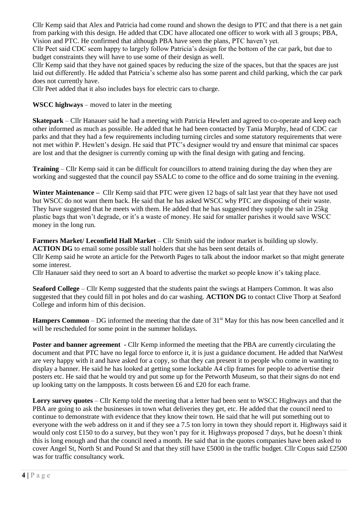Cllr Kemp said that Alex and Patricia had come round and shown the design to PTC and that there is a net gain from parking with this design. He added that CDC have allocated one officer to work with all 3 groups; PBA, Vision and PTC. He confirmed that although PBA have seen the plans, PTC haven't yet.

Cllr Peet said CDC seem happy to largely follow Patricia's design for the bottom of the car park, but due to budget constraints they will have to use some of their design as well.

Cllr Kemp said that they have not gained spaces by reducing the size of the spaces, but that the spaces are just laid out differently. He added that Patricia's scheme also has some parent and child parking, which the car park does not currently have.

Cllr Peet added that it also includes bays for electric cars to charge.

**WSCC highways** – moved to later in the meeting

**Skatepark** – Cllr Hanauer said he had a meeting with Patricia Hewlett and agreed to co-operate and keep each other informed as much as possible. He added that he had been contacted by Tania Murphy, head of CDC car parks and that they had a few requirements including turning circles and some statutory requirements that were not met within P. Hewlett's design. He said that PTC's designer would try and ensure that minimal car spaces are lost and that the designer is currently coming up with the final design with gating and fencing.

**Training** – Cllr Kemp said it can be difficult for councillors to attend training during the day when they are working and suggested that the council pay SSALC to come to the office and do some training in the evening.

**Winter Maintenance –** Cllr Kemp said that PTC were given 12 bags of salt last year that they have not used but WSCC do not want them back. He said that he has asked WSCC why PTC are disposing of their waste. They have suggested that he meets with them. He added that he has suggested they supply the salt in 25kg plastic bags that won't degrade, or it's a waste of money. He said for smaller parishes it would save WSCC money in the long run.

**Farmers Market/ Leconfield Hall Market** – Cllr Smith said the indoor market is building up slowly. **ACTION DG** to email some possible stall holders that she has been sent details of.

Cllr Kemp said he wrote an article for the Petworth Pages to talk about the indoor market so that might generate some interest.

Cllr Hanauer said they need to sort an A board to advertise the market so people know it's taking place.

**Seaford College** – Cllr Kemp suggested that the students paint the swings at Hampers Common. It was also suggested that they could fill in pot holes and do car washing. **ACTION DG** to contact Clive Thorp at Seaford College and inform him of this decision.

**Hampers Common** – DG informed the meeting that the date of  $31<sup>st</sup>$  May for this has now been cancelled and it will be rescheduled for some point in the summer holidays.

**Poster and banner agreement -** Cllr Kemp informed the meeting that the PBA are currently circulating the document and that PTC have no legal force to enforce it, it is just a guidance document. He added that NatWest are very happy with it and have asked for a copy, so that they can present it to people who come in wanting to display a banner. He said he has looked at getting some lockable A4 clip frames for people to advertise their posters etc. He said that he would try and put some up for the Petworth Museum, so that their signs do not end up looking tatty on the lampposts. It costs between £6 and £20 for each frame.

**Lorry survey quotes** – Cllr Kemp told the meeting that a letter had been sent to WSCC Highways and that the PBA are going to ask the businesses in town what deliveries they get, etc. He added that the council need to continue to demonstrate with evidence that they know their town. He said that he will put something out to everyone with the web address on it and if they see a 7.5 ton lorry in town they should report it. Highways said it would only cost £150 to do a survey, but they won't pay for it. Highways proposed 7 days, but he doesn't think this is long enough and that the council need a month. He said that in the quotes companies have been asked to cover Angel St, North St and Pound St and that they still have £5000 in the traffic budget. Cllr Copus said £2500 was for traffic consultancy work.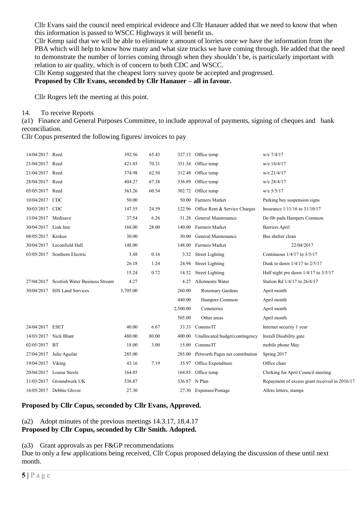Cllr Evans said the council need empirical evidence and Cllr Hanauer added that we need to know that when this information is passed to WSCC Highways it will benefit us.

Cllr Kemp said that we will be able to eliminate x amount of lorries once we have the information from the PBA which will help to know how many and what size trucks we have coming through. He added that the need to demonstrate the number of lorries coming through when they shouldn't be, is particularly important with relation to air quality, which is of concern to both CDC and WSCC.

Cllr Kemp suggested that the cheapest lorry survey quote be accepted and progressed.

**Proposed by Cllr Evans, seconded by Cllr Hanauer – all in favour.** 

Cllr Rogers left the meeting at this point.

#### 14. To receive Reports

(a1) Finance and General Purposes Committee, to include approval of payments, signing of cheques and bank reconciliation.

Cllr Copus presented the following figures/ invoices to pay

| 14/04/2017 Reed       |                                | 392.56   | 65.43 | 327.13   | Office temp                     | w/e 7/4/17                                    |
|-----------------------|--------------------------------|----------|-------|----------|---------------------------------|-----------------------------------------------|
| 21/04/2017            | Reed                           | 421.85   | 70.31 | 351.54   | Office temp                     | w/e 14/4/17                                   |
| 21/04/2017 Reed       |                                | 374.98   | 62.50 | 312.48   | Office temp                     | w/e 21/4/17                                   |
| 28/04/2017 Reed       |                                | 404.27   | 67.38 | 336.89   | Office temp                     | w/e 28/4/17                                   |
| 05/05/2017 Reed       |                                | 363.26   | 60.54 | 302.72   | Office temp                     | w/e 5/5/17                                    |
| 10/04/2017 CDC        |                                | 50.00    |       | 50.00    | <b>Farmers Market</b>           | Parking bay suspension signs                  |
| 30/03/2017 CDC        |                                | 147.55   | 24.59 | 122.96   | Office Rent & Service Charges   | Insurance 1/11/16 to 31/10/17                 |
| 13/04/2017 Medisave   |                                | 37.54    | 6.26  | 31.28    | General Maintenance             | De-fib pads Hampers Common                    |
| 30/04/2017 Link hire  |                                | 168.00   | 28.00 | 140.00   | <b>Farmers Market</b>           | <b>Barriers April</b>                         |
| 08/05/2017 Krokus     |                                | 30.00    |       | 30.00    | General Maintenance             | Bus shelter clean                             |
|                       | 30/04/2017 Leconfield Hall     | 148.00   |       | 148.00   | <b>Farmers Market</b>           | 22/04/2017                                    |
|                       | 03/05/2017 Southern Electric   | 3.48     | 0.16  | 3.32     | <b>Street Lighting</b>          | Continuous 1/4/17 to 3/5/17                   |
|                       |                                | 26.18    | 1.24  | 24.94    | <b>Street Lighting</b>          | Dusk to dawn 1/4/17 to 2/5/17                 |
|                       |                                | 15.24    | 0.72  | 14.52    | <b>Street Lighting</b>          | Half night pre dawn $1/4/17$ to $3/5/17$      |
| 27/04/2017            | Scottish Water Business Stream | 4.27     |       | 4.27     | <b>Allotments Water</b>         | Station Rd 1/4/17 to 26/4/17                  |
|                       | 30/04/2017 HJS Land Services   | 3,705.00 |       | 260.00   | Rosemary Gardens                | April month                                   |
|                       |                                |          |       | 440.00   | Hampers Common                  | April month                                   |
|                       |                                |          |       | 2,500.00 | Cemeteries                      | April month                                   |
|                       |                                |          |       | 505.00   | Other areas                     | April month                                   |
| 24/04/2017 ESET       |                                | 40.00    | 6.67  | 33.33    | Comms/IT                        | Internet security 1 year                      |
| 14/03/2017 Nick Blunt |                                | 480.00   | 80.00 | 400.00   | Unallocated budget/contingency  | Install Disability gate                       |
| 02/05/2017 BT         |                                | 18.00    | 3.00  | 15.00    | Comms/IT                        | mobile phone May                              |
| 27/04/2017            | Julie Aguilar                  | 285.00   |       | 285.00   | Petworth Pages net contribution | Spring 2017                                   |
| 19/04/2017 Viking     |                                | 43.16    | 7.19  | 35.97    | Office Expenditure              | Office chair                                  |
| 20/04/2017            | Louise Steele                  | 164.85   |       | 164.85   | Office temp                     | Clerking for April Council meeting            |
| 31/03/2017            | Groundwork UK                  | 536.87   |       |          | 536.87 N Plan                   | Repayment of excess grant received in 2016/17 |
|                       | 16/05/2017 Debbie Glover       | 27.30    |       |          | 27.30 Expenses/Postage          | Allots letters, stamps                        |
|                       |                                |          |       |          |                                 |                                               |

# **Proposed by Cllr Copus, seconded by Cllr Evans, Approved.**

## (a2) Adopt minutes of the previous meetings 14.3.17, 18.4.17 **Proposed by Cllr Copus, seconded by Cllr Smith. Adopted.**

## (a3) Grant approvals as per F&GP recommendations

Due to only a few applications being received, Cllr Copus proposed delaying the discussion of these until next month.